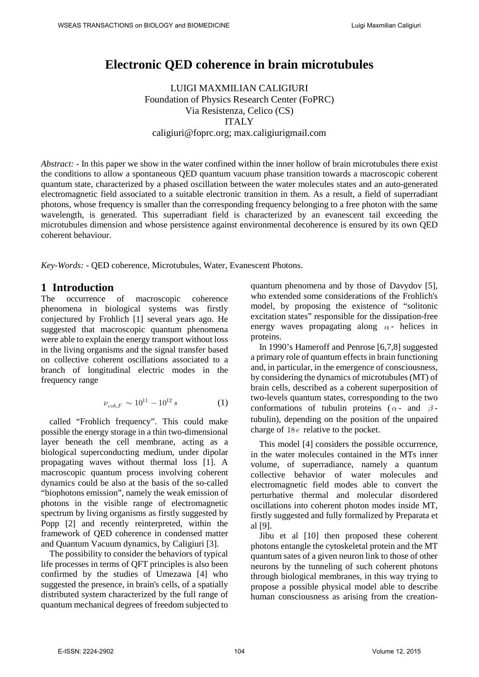# **Electronic QED coherence in brain microtubules**

LUIGI MAXMILIAN CALIGIURI Foundation of Physics Research Center (FoPRC) Via Resistenza, Celico (CS) ITALY caligiuri@foprc.org; max.caligiurigmail.com

*Abstract: -* In this paper we show in the water confined within the inner hollow of brain microtubules there exist the conditions to allow a spontaneous QED quantum vacuum phase transition towards a macroscopic coherent quantum state, characterized by a phased oscillation between the water molecules states and an auto-generated electromagnetic field associated to a suitable electronic transition in them. As a result, a field of superradiant photons, whose frequency is smaller than the corresponding frequency belonging to a free photon with the same wavelength, is generated. This superradiant field is characterized by an evanescent tail exceeding the microtubules dimension and whose persistence against environmental decoherence is ensured by its own QED coherent behaviour.

*Key-Words: -* QED coherence, Microtubules, Water, Evanescent Photons.

### **1 Introduction**

The occurrence of macroscopic coherence phenomena in biological systems was firstly conjectured by Frohlich [1] several years ago. He suggested that macroscopic quantum phenomena were able to explain the energy transport without loss in the living organisms and the signal transfer based on collective coherent oscillations associated to a branch of longitudinal electric modes in the frequency range

$$
\nu_{coh,F} \sim 10^{11} - 10^{12} s \tag{1}
$$

called "Frohlich frequency". This could make possible the energy storage in a thin two-dimensional layer beneath the cell membrane, acting as a biological superconducting medium, under dipolar propagating waves without thermal loss [1]. A macroscopic quantum process involving coherent dynamics could be also at the basis of the so-called "biophotons emission", namely the weak emission of photons in the visible range of electromagnetic spectrum by living organisms as firstly suggested by Popp [2] and recently reinterpreted, within the framework of QED coherence in condensed matter and Quantum Vacuum dynamics, by Caligiuri [3].

The possibility to consider the behaviors of typical life processes in terms of QFT principles is also been confirmed by the studies of Umezawa [4] who suggested the presence, in brain's cells, of a spatially distributed system characterized by the full range of quantum mechanical degrees of freedom subjected to quantum phenomena and by those of Davydov [5], who extended some considerations of the Frohlich's model, by proposing the existence of "solitonic excitation states" responsible for the dissipation-free energy waves propagating along  $\alpha$ - helices in proteins.

In 1990's Hameroff and Penrose [6,7,8] suggested a primary role of quantum effects in brain functioning and, in particular, in the emergence of consciousness, by considering the dynamics of microtubules (MT) of brain cells, described as a coherent superposition of two-levels quantum states, corresponding to the two conformations of tubulin proteins ( $\alpha$ - and  $\beta$ tubulin), depending on the position of the unpaired charge of 18*e* relative to the pocket.

This model [4] considers the possible occurrence, in the water molecules contained in the MTs inner volume, of superradiance, namely a quantum collective behavior of water molecules and electromagnetic field modes able to convert the perturbative thermal and molecular disordered oscillations into coherent photon modes inside MT, firstly suggested and fully formalized by Preparata et al [9].

Jibu et al [10] then proposed these coherent photons entangle the cytoskeletal protein and the MT quantum sates of a given neuron link to those of other neurons by the tunneling of such coherent photons through biological membranes, in this way trying to propose a possible physical model able to describe human consciousness as arising from the creation-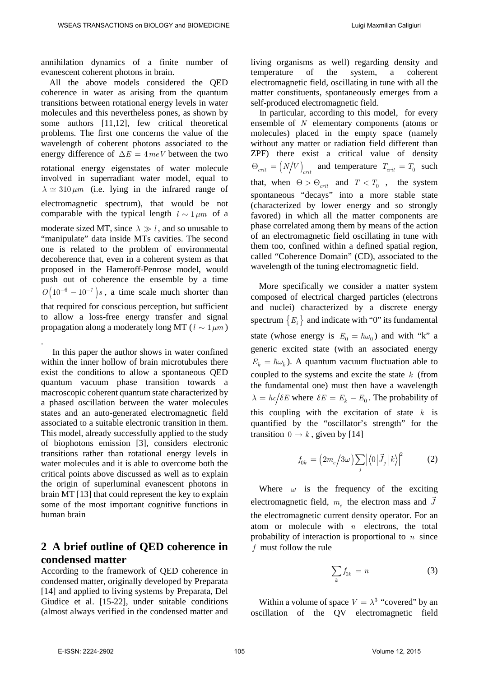annihilation dynamics of a finite number of evanescent coherent photons in brain.

All the above models considered the QED coherence in water as arising from the quantum transitions between rotational energy levels in water molecules and this nevertheless pones, as shown by some authors [11,12], few critical theoretical problems. The first one concerns the value of the wavelength of coherent photons associated to the energy difference of  $\Delta E = 4 \, meV$  between the two rotational energy eigenstates of water molecule involved in superradiant water model, equal to  $\lambda \simeq 310 \ \mu m$  (i.e. lying in the infrared range of electromagnetic spectrum), that would be not comparable with the typical length  $l \sim 1 \mu m$  of a moderate sized MT, since  $\lambda \gg l$ , and so unusable to "manipulate" data inside MTs cavities. The second one is related to the problem of environmental decoherence that, even in a coherent system as that proposed in the Hameroff-Penrose model, would push out of coherence the ensemble by a time  $O(10^{-6} - 10^{-7})s$ , a time scale much shorter than that required for conscious perception, but sufficient to allow a loss-free energy transfer and signal propagation along a moderately long MT ( $l \sim 1 \mu m$ )

. In this paper the author shows in water confined within the inner hollow of brain microtubules there exist the conditions to allow a spontaneous QED quantum vacuum phase transition towards a macroscopic coherent quantum state characterized by a phased oscillation between the water molecules states and an auto-generated electromagnetic field associated to a suitable electronic transition in them. This model, already successfully applied to the study of biophotons emission [3], considers electronic transitions rather than rotational energy levels in water molecules and it is able to overcome both the critical points above discussed as well as to explain the origin of superluminal evanescent photons in brain MT [13] that could represent the key to explain some of the most important cognitive functions in human brain

## **2 A brief outline of QED coherence in condensed matter**

According to the framework of QED coherence in condensed matter, originally developed by Preparata [14] and applied to living systems by Preparata, Del Giudice et al. [15-22], under suitable conditions (almost always verified in the condensed matter and living organisms as well) regarding density and temperature of the system, a coherent electromagnetic field, oscillating in tune with all the matter constituents, spontaneously emerges from a self-produced electromagnetic field.

In particular, according to this model, for every ensemble of *N* elementary components (atoms or molecules) placed in the empty space (namely without any matter or radiation field different than ZPF) there exist a critical value of density  $\Theta_{crit} = (N/V)_{crit}$  and temperature  $T_{crit} = T_0$  such that, when  $\Theta > \Theta_{crit}$  and  $T < T_0$ , the system spontaneous "decays" into a more stable state (characterized by lower energy and so strongly favored) in which all the matter components are phase correlated among them by means of the action of an electromagnetic field oscillating in tune with them too, confined within a defined spatial region, called "Coherence Domain" (CD), associated to the wavelength of the tuning electromagnetic field.

More specifically we consider a matter system composed of electrical charged particles (electrons and nuclei) characterized by a discrete energy spectrum  $\{E_i\}$  and indicate with "0" its fundamental state (whose energy is  $E_0 = \hbar \omega_0$ ) and with "k" a generic excited state (with an associated energy  $E_k = \hbar \omega_k$ ). A quantum vacuum fluctuation able to coupled to the systems and excite the state *k* (from the fundamental one) must then have a wavelength  $\lambda = hc/\delta E$  where  $\delta E = E_k - E_0$ . The probability of this coupling with the excitation of state *k* is quantified by the "oscillator's strength" for the transition  $0 \rightarrow k$ , given by [14]

$$
f_{0k} = \left(2m_e/3\omega\right) \sum_j \left|\langle 0|\vec{J}_j|k\rangle\right|^2 \tag{2}
$$

Where  $\omega$  is the frequency of the exciting electromagnetic field,  $m_e$  the electron mass and  $\vec{J}$ the electromagnetic current density operator. For an atom or molecule with *n* electrons, the total probability of interaction is proportional to *n* since *f* must follow the rule

$$
\sum_{k} f_{0k} = n \tag{3}
$$

Within a volume of space  $V = \lambda^3$  "covered" by an oscillation of the QV electromagnetic field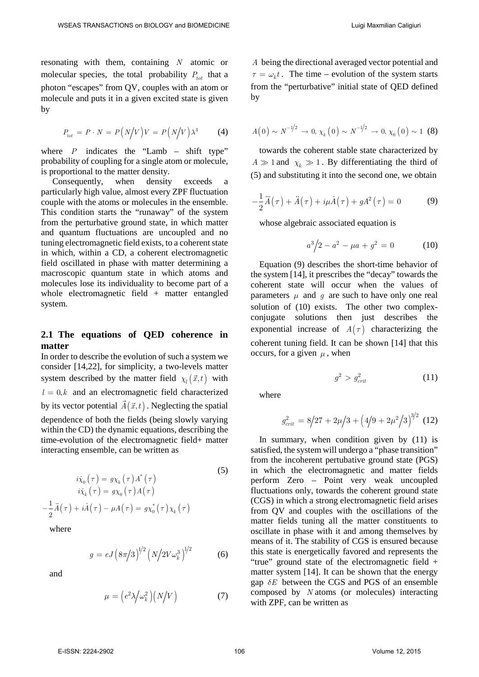resonating with them, containing *N* atomic or molecular species, the total probability  $P_{tot}$  that a photon "escapes" from QV, couples with an atom or molecule and puts it in a given excited state is given by

$$
P_{tot} = P \cdot N = P\left(N\middle|V\right)V = P\left(N\middle|V\right)\lambda^3\right)
$$
 (4)

where  $P$  indicates the "Lamb – shift type" probability of coupling for a single atom or molecule, is proportional to the matter density.

Consequently, when density exceeds a particularly high value, almost every ZPF fluctuation couple with the atoms or molecules in the ensemble. This condition starts the "runaway" of the system from the perturbative ground state, in which matter and quantum fluctuations are uncoupled and no tuning electromagnetic field exists, to a coherent state in which, within a CD, a coherent electromagnetic field oscillated in phase with matter determining a macroscopic quantum state in which atoms and molecules lose its individuality to become part of a whole electromagnetic field + matter entangled system.

#### **2.1 The equations of QED coherence in matter**

In order to describe the evolution of such a system we consider [14,22], for simplicity, a two-levels matter system described by the matter field  $\chi_l(\vec{x},t)$  with  $l = 0, k$  and an electromagnetic field characterized by its vector potential  $\vec{A}(\vec{x},t)$ . Neglecting the spatial dependence of both the fields (being slowly varying within the CD) the dynamic equations, describing the time-evolution of the electromagnetic field+ matter interacting ensemble, can be written as

(5)  
\n
$$
i\dot{\chi}_0(\tau) = g\chi_k(\tau) A^*(\tau)
$$
\n
$$
i\dot{\chi}_k(\tau) = g\chi_0(\tau) A(\tau)
$$
\n
$$
-\frac{1}{2} \ddot{A}(\tau) + i\dot{A}(\tau) - \mu A(\tau) = g\chi_0^*(\tau) \chi_k(\tau)
$$

where

$$
g = eJ \left(8\pi/3\right)^{1/2} \left(N/2V\omega_k^3\right)^{1/2} \tag{6}
$$

and

$$
\mu = \left(e^2 \lambda / \omega_k^2\right) \left(N / V\right) \tag{7}
$$

*A* being the directional averaged vector potential and  $\tau = \omega_k t$ . The time – evolution of the system starts from the "perturbative" initial state of QED defined by

$$
A(0) \sim N^{-1/2} \to 0, \, \chi_k(0) \sim N^{-1/2} \to 0, \, \chi_0(0) \sim 1 \, (8)
$$

towards the coherent stable state characterized by  $A \gg 1$  and  $\chi_k \gg 1$ . By differentiating the third of (5) and substituting it into the second one, we obtain

$$
-\frac{1}{2}\ddot{A}(\tau) + \ddot{A}(\tau) + i\mu \dot{A}(\tau) + gA^2(\tau) = 0
$$
 (9)

whose algebraic associated equation is

$$
a^3/2 - a^2 - \mu a + g^2 = 0 \tag{10}
$$

Equation (9) describes the short-time behavior of the system [14], it prescribes the "decay" towards the coherent state will occur when the values of parameters  $\mu$  and  $\sigma$  are such to have only one real solution of (10) exists. The other two complexconjugate solutions then just describes the exponential increase of  $A(\tau)$  characterizing the coherent tuning field. It can be shown [14] that this occurs, for a given  $\mu$ , when

$$
g^2 > g_{crit}^2 \tag{11}
$$

where

$$
g_{crit}^2 = 8/27 + 2\mu/3 + (4/9 + 2\mu^2/3)^{3/2}
$$
 (12)

In summary, when condition given by (11) is satisfied, the system will undergo a "phase transition" from the incoherent pertubative ground state (PGS) in which the electromagnetic and matter fields perform Zero – Point very weak uncoupled fluctuations only, towards the coherent ground state (CGS) in which a strong electromagnetic field arises from QV and couples with the oscillations of the matter fields tuning all the matter constituents to oscillate in phase with it and among themselves by means of it. The stability of CGS is ensured because this state is energetically favored and represents the "true" ground state of the electromagnetic field + matter system [14]. It can be shown that the energy gap  $\delta E$  between the CGS and PGS of an ensemble composed by *N* atoms (or molecules) interacting with ZPF, can be written as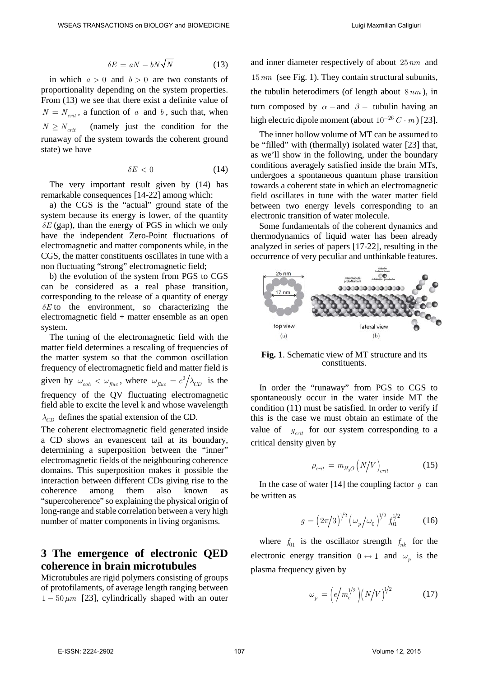$$
\delta E = aN - bN\sqrt{N} \tag{13}
$$

in which  $a > 0$  and  $b > 0$  are two constants of proportionality depending on the system properties. From (13) we see that there exist a definite value of  $N = N_{crit}$ , a function of *a* and *b*, such that, when  $N \ge N_{crit}$  (namely just the condition for the runaway of the system towards the coherent ground state) we have

$$
\delta E < 0 \tag{14}
$$

The very important result given by (14) has remarkable consequences [14-22] among which:

a) the CGS is the "actual" ground state of the system because its energy is lower, of the quantity  $\delta E$  (gap), than the energy of PGS in which we only have the independent Zero-Point fluctuations of electromagnetic and matter components while, in the CGS, the matter constituents oscillates in tune with a non fluctuating "strong" electromagnetic field;

b) the evolution of the system from PGS to CGS can be considered as a real phase transition, corresponding to the release of a quantity of energy  $\delta E$  to the environment, so characterizing the electromagnetic field + matter ensemble as an open system.

The tuning of the electromagnetic field with the matter field determines a rescaling of frequencies of the matter system so that the common oscillation frequency of electromagnetic field and matter field is given by  $\omega_{coh} < \omega_{fluc}$ , where  $\omega_{fluc} = c^2/\lambda_{CD}$  is the frequency of the QV fluctuating electromagnetic field able to excite the level k and whose wavelength  $\lambda_{CD}$  defines the spatial extension of the CD.

The coherent electromagnetic field generated inside a CD shows an evanescent tail at its boundary, determining a superposition between the "inner" electromagnetic fields of the neighbouring coherence domains. This superposition makes it possible the interaction between different CDs giving rise to the coherence among them also known as "supercoherence" so explaining the physical origin of long-range and stable correlation between a very high number of matter components in living organisms.

## **3 The emergence of electronic QED coherence in brain microtubules**

Microtubules are rigid polymers consisting of groups of protofilaments, of average length ranging between  $1 - 50 \,\mu m$  [23], cylindrically shaped with an outer and inner diameter respectively of about 25*nm* and 15*nm* (see Fig. 1). They contain structural subunits, the tubulin heterodimers (of length about 8*nm* ), in turn composed by  $\alpha$  – and  $\beta$  – tubulin having an high electric dipole moment (about  $10^{-26} C \cdot m$ ) [23].

The inner hollow volume of MT can be assumed to be "filled" with (thermally) isolated water [23] that, as we'll show in the following, under the boundary conditions averagely satisfied inside the brain MTs, undergoes a spontaneous quantum phase transition towards a coherent state in which an electromagnetic field oscillates in tune with the water matter field between two energy levels corresponding to an electronic transition of water molecule.

Some fundamentals of the coherent dynamics and thermodynamics of liquid water has been already analyzed in series of papers [17-22], resulting in the occurrence of very peculiar and unthinkable features.



**Fig. 1**. Schematic view of MT structure and its constituents.

In order the "runaway" from PGS to CGS to spontaneously occur in the water inside MT the condition (11) must be satisfied. In order to verify if this is the case we must obtain an estimate of the value of  $g_{crit}$  for our system corresponding to a critical density given by

$$
\rho_{crit} = m_{H_2O} (N/V)_{crit} \tag{15}
$$

In the case of water [14] the coupling factor  $q$  can be written as

$$
g = \left(2\pi/3\right)^{1/2} \left(\omega_p/\omega_0\right)^{1/2} f_{01}^{1/2} \tag{16}
$$

where  $f_{01}$  is the oscillator strength  $f_{nk}$  for the electronic energy transition  $0 \leftrightarrow 1$  and  $\omega_n$  is the plasma frequency given by

$$
\omega_p = \left( e \left/ m_e^{1/2} \right) \left( N / V \right)^{1/2} \tag{17}
$$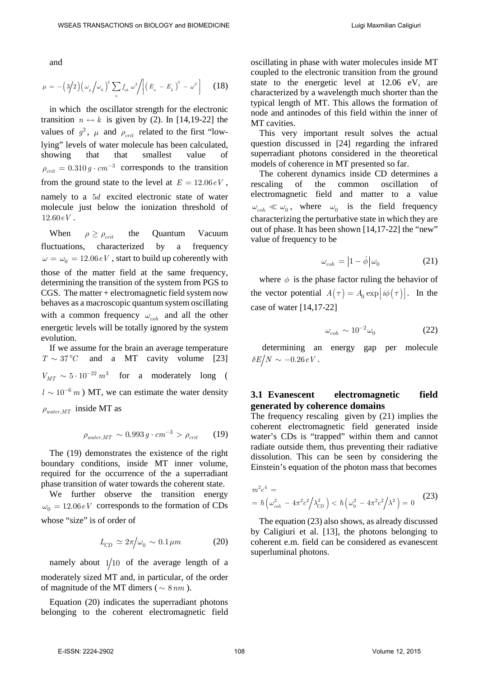and

$$
\mu = -\left(3/2\right)\left(\omega_{p} / \omega_{0}\right)^{2} \sum_{n} f_{nk} \omega^{2} / \left[\left(E_{n} - E_{k}\right)^{2} - \omega^{2}\right] \quad (18)
$$

in which the oscillator strength for the electronic transition  $n \leftrightarrow k$  is given by (2). In [14,19-22] the values of  $g^2$ ,  $\mu$  and  $\rho_{crit}$  related to the first "lowlying" levels of water molecule has been calculated, showing that that smallest value  $\rho_{crit} = 0.310 g \cdot cm^{-3}$  corresponds to the transition from the ground state to the level at  $E = 12.06 \, \text{eV}$ . namely to a 5*d* excited electronic state of water molecule just below the ionization threshold of 12.60*eV* .

When  $\rho \geq \rho_{crit}$  the Quantum Vacuum fluctuations, characterized by a frequency  $\omega = \omega_0 = 12.06 \, \text{eV}$ , start to build up coherently with those of the matter field at the same frequency, determining the transition of the system from PGS to CGS. The matter + electromagnetic field system now behaves as a macroscopic quantum system oscillating with a common frequency  $\omega_{coh}$  and all the other energetic levels will be totally ignored by the system evolution.

If we assume for the brain an average temperature  $T \sim 37^{\circ}$  and a MT cavity volume [23]  $V_{MT} \sim 5 \cdot 10^{-22} m^3$  for a moderately long (  $l \sim 10^{-6}$  m) MT, we can estimate the water density  $\rho_{water, MT}$  inside MT as

 $\rho_{water, MT} \sim 0.993 g \cdot cm^{-3} > \rho_{crit}$  (19)

The (19) demonstrates the existence of the right boundary conditions, inside MT inner volume, required for the occurrence of the a superradiant phase transition of water towards the coherent state.

We further observe the transition energy  $\omega_0 = 12.06 \, \text{eV}$  corresponds to the formation of CDs whose "size" is of order of

$$
L_{CD} \simeq 2\pi/\omega_0 \sim 0.1 \,\mu m \tag{20}
$$

namely about  $1/10$  of the average length of a moderately sized MT and, in particular, of the order of magnitude of the MT dimers ( $\sim 8 \, nm$ ).

Equation (20) indicates the superradiant photons belonging to the coherent electromagnetic field oscillating in phase with water molecules inside MT coupled to the electronic transition from the ground state to the energetic level at 12.06 eV, are characterized by a wavelength much shorter than the typical length of MT. This allows the formation of node and antinodes of this field within the inner of MT cavities.

This very important result solves the actual question discussed in [24] regarding the infrared superradiant photons considered in the theoretical models of coherence in MT presented so far.

The coherent dynamics inside CD determines a rescaling of the common oscillation of electromagnetic field and matter to a value  $\omega_{coh} \ll \omega_0$ , where  $\omega_0$  is the field frequency characterizing the perturbative state in which they are out of phase. It has been shown [14,17-22] the "new" value of frequency to be

$$
\omega_{coh} = \left| 1 - \dot{\phi} \right| \omega_0 \tag{21}
$$

where  $\phi$  is the phase factor ruling the behavior of the vector potential  $A(\tau) = A_0 \exp[i\phi(\tau)].$  In the case of water [14,17-22]

$$
\omega_{coh} \sim 10^{-2} \omega_0 \tag{22}
$$

determining an energy gap per molecule  $\delta E/N \sim -0.26 eV$ .

#### **3.1 Evanescent electromagnetic field generated by coherence domains**

The frequency rescaling given by (21) implies the coherent electromagnetic field generated inside water's CDs is "trapped" within them and cannot radiate outside them, thus preventing their radiative dissolution. This can be seen by considering the Einstein's equation of the photon mass that becomes

$$
m^{2}c^{4} =
$$
  
=  $\hbar \left(\omega_{coh}^{2} - 4\pi^{2}c^{2}/\lambda_{CD}^{2}\right) < \hbar \left(\omega_{0}^{2} - 4\pi^{2}c^{2}/\lambda^{2}\right) = 0$  (23)

The equation (23) also shows, as already discussed by Caligiuri et al. [13], the photons belonging to coherent e.m. field can be considered as evanescent superluminal photons.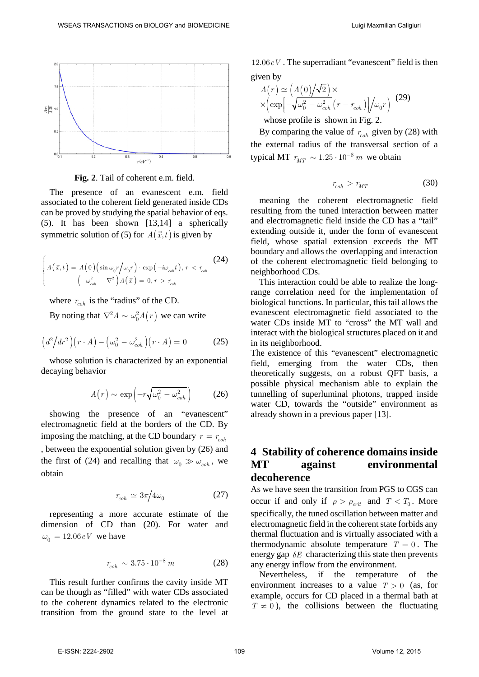

**Fig. 2**. Tail of coherent e.m. field.

The presence of an evanescent e.m. field associated to the coherent field generated inside CDs can be proved by studying the spatial behavior of eqs. (5). It has been shown [13,14] a spherically symmetric solution of (5) for  $A(\vec{x},t)$  is given by

$$
\begin{cases}\nA(\vec{x},t) = A(0) \left(\sin \omega_0 r / \omega_0 r\right) \cdot \exp\left(-i\omega_{coh}t\right), \, r < r_{coh} \\
\left(-\omega_{coh}^2 - \nabla^2\right) A(\vec{x}) = 0, \, r > r_{coh}\n\end{cases} \tag{24}
$$

where  $r_{coh}$  is the "radius" of the CD.

By noting that  $\nabla^2 A \sim \omega_0^2 A(r)$  we can write

$$
\left(d^2\middle/dr^2\right)\left(r \cdot A\right) - \left(\omega_0^2 - \omega_{coh}^2\right)\left(r \cdot A\right) = 0 \tag{25}
$$

whose solution is characterized by an exponential decaying behavior

$$
A(r) \sim \exp\left(-r\sqrt{\omega_0^2 - \omega_{coh}^2}\right) \tag{26}
$$

showing the presence of an "evanescent" electromagnetic field at the borders of the CD. By imposing the matching, at the CD boundary  $r = r_{coh}$ , between the exponential solution given by (26) and the first of (24) and recalling that  $\omega_0 \gg \omega_{coh}$ , we obtain

$$
r_{coh} \simeq 3\pi/4\omega_0 \tag{27}
$$

representing a more accurate estimate of the dimension of CD than (20). For water and  $\omega_0 = 12.06 \, eV$  we have

$$
r_{coh} \sim 3.75 \cdot 10^{-8} \, m \tag{28}
$$

This result further confirms the cavity inside MT can be though as "filled" with water CDs associated to the coherent dynamics related to the electronic transition from the ground state to the level at

12.06*eV* . The superradiant "evanescent" field is then given by

$$
A(r) \simeq (A(0)/\sqrt{2}) \times
$$
  
 
$$
\times (\exp[-\sqrt{\omega_0^2 - \omega_{coh}^2} (r - r_{coh})]/\omega_0 r)
$$
 (29)

whose profile is shown in Fig. 2.

By comparing the value of  $r_{coh}$  given by (28) with the external radius of the transversal section of a typical MT  $r_{MT} \sim 1.25 \cdot 10^{-8}$  *m* we obtain

$$
r_{coh} > r_{MT} \tag{30}
$$

meaning the coherent electromagnetic field resulting from the tuned interaction between matter and electromagnetic field inside the CD has a "tail" extending outside it, under the form of evanescent field, whose spatial extension exceeds the MT boundary and allows the overlapping and interaction of the coherent electromagnetic field belonging to neighborhood CDs.

This interaction could be able to realize the longrange correlation need for the implementation of biological functions. In particular, this tail allows the evanescent electromagnetic field associated to the water CDs inside MT to "cross" the MT wall and interact with the biological structures placed on it and in its neighborhood.

The existence of this "evanescent" electromagnetic field, emerging from the water CDs, then theoretically suggests, on a robust QFT basis, a possible physical mechanism able to explain the tunnelling of superluminal photons, trapped inside water CD, towards the "outside" environment as already shown in a previous paper [13].

### **4 Stability of coherence domains inside MT against environmental decoherence**

As we have seen the transition from PGS to CGS can occur if and only if  $\rho > \rho_{crit}$  and  $T < T_0$ . More specifically, the tuned oscillation between matter and electromagnetic field in the coherent state forbids any thermal fluctuation and is virtually associated with a thermodynamic absolute temperature  $T = 0$ . The energy gap  $\delta E$  characterizing this state then prevents any energy inflow from the environment.

Nevertheless, if the temperature of the environment increases to a value  $T > 0$  (as, for example, occurs for CD placed in a thermal bath at  $T \neq 0$ ), the collisions between the fluctuating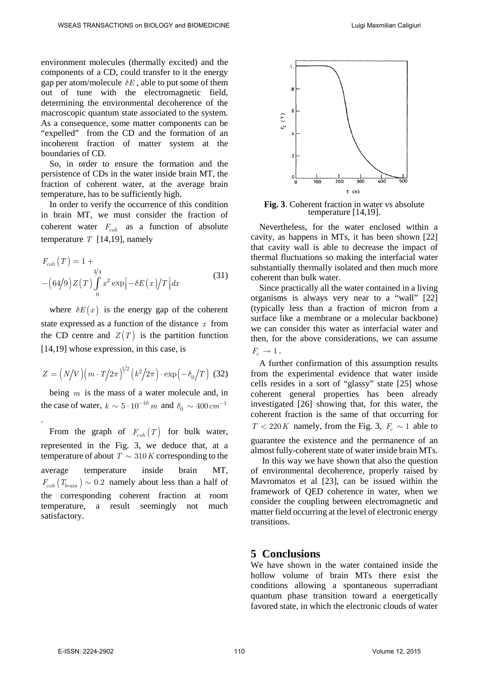environment molecules (thermally excited) and the components of a CD, could transfer to it the energy gap per atom/molecule  $\delta E$ , able to put some of them out of tune with the electromagnetic field, determining the environmental decoherence of the macroscopic quantum state associated to the system. As a consequence, some matter components can be "expelled" from the CD and the formation of an incoherent fraction of matter system at the boundaries of CD.

So, in order to ensure the formation and the persistence of CDs in the water inside brain MT, the fraction of coherent water, at the average brain temperature, has to be sufficiently high.

In order to verify the occurrence of this condition in brain MT, we must consider the fraction of coherent water  $F_{coh}$  as a function of absolute temperature *T* [14,19], namely

$$
F_{coh}(T) = 1 +
$$
  
 
$$
-(64/9)Z(T)\int_{0}^{3/4} x^2 \exp[-\delta E(x)/T] dx
$$
 (31)

where  $\delta E(x)$  is the energy gap of the coherent state expressed as a function of the distance *x* from the CD centre and  $Z(T)$  is the partition function [14,19] whose expression, in this case, is

$$
Z = \left(N/V\right)\left(m \cdot T/2\pi\right)^{1/2}\left(k^2/2\pi\right) \cdot \exp\left(-\delta_0/T\right)
$$
 (32)

being *m* is the mass of a water molecule and, in the case of water,  $k \sim 5 \cdot 10^{-10}$  *m* and  $\delta_0 \sim 400$  *cm*<sup>-1</sup>

From the graph of  $F_{coh}(T)$  for bulk water, represented in the Fig. 3, we deduce that, at a temperature of about  $T \sim 310 K$  corresponding to the average temperature inside brain MT,  $F_{coh}(T_{brain}) \sim 0.2$  namely about less than a half of the corresponding coherent fraction at room temperature, a result seemingly not much satisfactory.



**Fig. 3**. Coherent fraction in water vs absolute temperature [14,19].

Nevertheless, for the water enclosed within a cavity, as happens in MTs, it has been shown [22] that cavity wall is able to decrease the impact of thermal fluctuations so making the interfacial water substantially thermally isolated and then much more coherent than bulk water.

Since practically all the water contained in a living organisms is always very near to a "wall" [22] (typically less than a fraction of micron from a surface like a membrane or a molecular backbone) we can consider this water as interfacial water and then, for the above considerations, we can assume  $F_{\alpha} \rightarrow 1$ .

A further confirmation of this assumption results from the experimental evidence that water inside cells resides in a sort of "glassy" state [25] whose coherent general properties has been already investigated [26] showing that, for this water, the coherent fraction is the same of that occurring for  $T < 220 K$  namely, from the Fig. 3,  $F_c \sim 1$  able to

guarantee the existence and the permanence of an almost fully-coherent state of water inside brain MTs.

In this way we have shown that also the question of environmental decoherence, properly raised by Mavromatos et al [23], can be issued within the framework of QED coherence in water, when we consider the coupling between electromagnetic and matter field occurring at the level of electronic energy transitions.

### **5 Conclusions**

We have shown in the water contained inside the hollow volume of brain MTs there exist the conditions allowing a spontaneous superradiant quantum phase transition toward a energetically favored state, in which the electronic clouds of water

.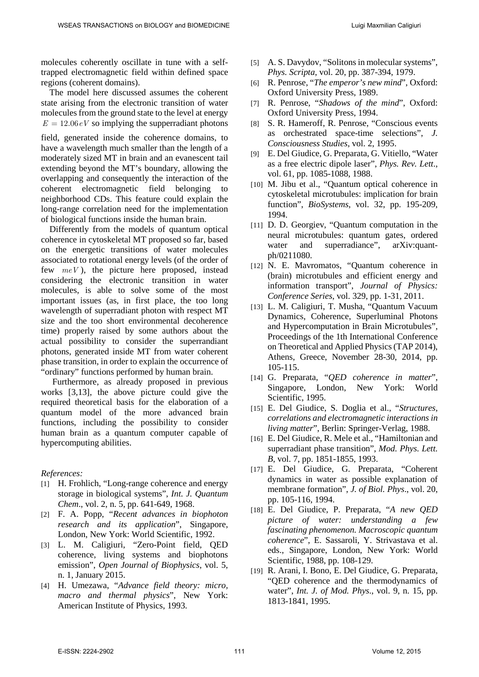molecules coherently oscillate in tune with a selftrapped electromagnetic field within defined space regions (coherent domains).

The model here discussed assumes the coherent state arising from the electronic transition of water molecules from the ground state to the level at energy  $E = 12.06 \, \text{eV}$  so implying the supperradiant photons

field, generated inside the coherence domains, to have a wavelength much smaller than the length of a moderately sized MT in brain and an evanescent tail extending beyond the MT's boundary, allowing the overlapping and consequently the interaction of the coherent electromagnetic field belonging to neighborhood CDs. This feature could explain the long-range correlation need for the implementation of biological functions inside the human brain.

Differently from the models of quantum optical coherence in cytoskeletal MT proposed so far, based on the energetic transitions of water molecules associated to rotational energy levels (of the order of few *meV* ), the picture here proposed, instead considering the electronic transition in water molecules, is able to solve some of the most important issues (as, in first place, the too long wavelength of superradiant photon with respect MT size and the too short environmental decoherence time) properly raised by some authors about the actual possibility to consider the superrandiant photons, generated inside MT from water coherent phase transition, in order to explain the occurrence of "ordinary" functions performed by human brain.

Furthermore, as already proposed in previous works [3,13], the above picture could give the required theoretical basis for the elaboration of a quantum model of the more advanced brain functions, including the possibility to consider human brain as a quantum computer capable of hypercomputing abilities.

#### *References:*

- [1] H. Frohlich, "Long-range coherence and energy storage in biological systems", *Int. J. Quantum Chem*., vol. 2, n. 5, pp. 641-649, 1968.
- [2] F. A. Popp, "*Recent advances in biophoton research and its application*", Singapore, London, New York: World Scientific, 1992.
- [3] L. M. Caligiuri, "Zero-Point field, QED coherence, living systems and biophotons emission", *Open Journal of Biophysics*, vol. 5, n. 1, January 2015.
- [4] H. Umezawa, "*Advance field theory: micro, macro and thermal physics*", New York: American Institute of Physics, 1993.
- [5] A. S. Davydov, "Solitons in molecular systems", *Phys. Scripta*, vol. 20, pp. 387-394, 1979.
- [6] R. Penrose, "*The emperor's new mind*", Oxford: Oxford University Press, 1989.
- [7] R. Penrose, "*Shadows of the mind*", Oxford: Oxford University Press, 1994.
- [8] S. R. Hameroff, R. Penrose, "Conscious events as orchestrated space-time selections", *J. Consciousness Studies*, vol. 2, 1995.
- [9] E. Del Giudice, G. Preparata, G. Vitiello, "Water as a free electric dipole laser", *Phys. Rev. Lett*., vol. 61, pp. 1085-1088, 1988.
- [10] M. Jibu et al., "Quantum optical coherence in cytoskeletal microtubules: implication for brain function", *BioSystems*, vol. 32, pp. 195-209, 1994.
- [11] D. D. Georgiev, "Quantum computation in the neural microtubules: quantum gates, ordered water and superradiance", arXiv:quantph/0211080.
- [12] N. E. Mavromatos, "Quantum coherence in (brain) microtubules and efficient energy and information transport", *Journal of Physics: Conference Series*, vol. 329, pp. 1-31, 2011.
- [13] L. M. Caligiuri, T. Musha, "Quantum Vacuum Dynamics, Coherence, Superluminal Photons and Hypercomputation in Brain Microtubules", Proceedings of the 1th International Conference on Theoretical and Applied Physics (TAP 2014), Athens, Greece, November 28-30, 2014, pp. 105-115.
- [14] G. Preparata, "*QED coherence in matter*", Singapore, London, New York: World Scientific, 1995.
- [15] E. Del Giudice, S. Doglia et al., "*Structures, correlations and electromagnetic interactions in living matter*", Berlin: Springer-Verlag, 1988.
- [16] E. Del Giudice, R. Mele et al., "Hamiltonian and superradiant phase transition", *Mod. Phys. Lett. B*, vol. 7, pp. 1851-1855, 1993.
- [17] E. Del Giudice, G. Preparata, "Coherent dynamics in water as possible explanation of membrane formation", *J. of Biol. Phys*., vol. 20, pp. 105-116, 1994.
- [18] E. Del Giudice, P. Preparata, "*A new QED picture of water: understanding a few fascinating phenomenon. Macroscopic quantum coherence*", E. Sassaroli, Y. Strivastava et al. eds., Singapore, London, New York: World Scientific, 1988, pp. 108-129.
- [19] R. Arani, I. Bono, E. Del Giudice, G. Preparata, "QED coherence and the thermodynamics of water", *Int. J. of Mod. Phys*., vol. 9, n. 15, pp. 1813-1841, 1995.